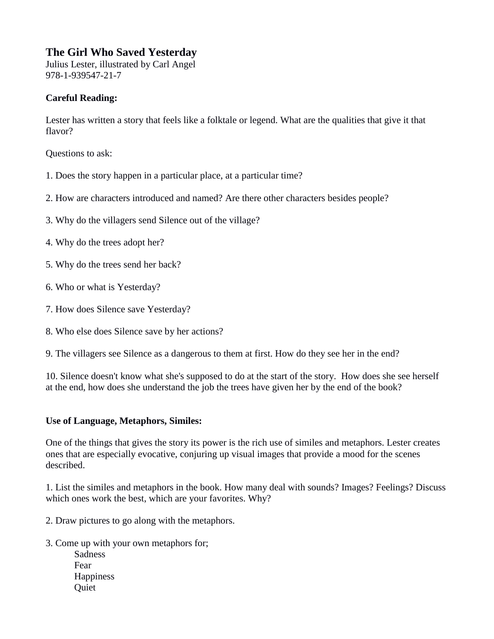## **The Girl Who Saved Yesterday**

Julius Lester, illustrated by Carl Angel 978-1-939547-21-7

## **Careful Reading:**

Lester has written a story that feels like a folktale or legend. What are the qualities that give it that flavor?

Questions to ask:

- 1. Does the story happen in a particular place, at a particular time?
- 2. How are characters introduced and named? Are there other characters besides people?
- 3. Why do the villagers send Silence out of the village?
- 4. Why do the trees adopt her?
- 5. Why do the trees send her back?
- 6. Who or what is Yesterday?
- 7. How does Silence save Yesterday?
- 8. Who else does Silence save by her actions?
- 9. The villagers see Silence as a dangerous to them at first. How do they see her in the end?

10. Silence doesn't know what she's supposed to do at the start of the story. How does she see herself at the end, how does she understand the job the trees have given her by the end of the book?

## **Use of Language, Metaphors, Similes:**

One of the things that gives the story its power is the rich use of similes and metaphors. Lester creates ones that are especially evocative, conjuring up visual images that provide a mood for the scenes described.

1. List the similes and metaphors in the book. How many deal with sounds? Images? Feelings? Discuss which ones work the best, which are your favorites. Why?

- 2. Draw pictures to go along with the metaphors.
- 3. Come up with your own metaphors for; **Sadness** Fear **Happiness Ouiet**